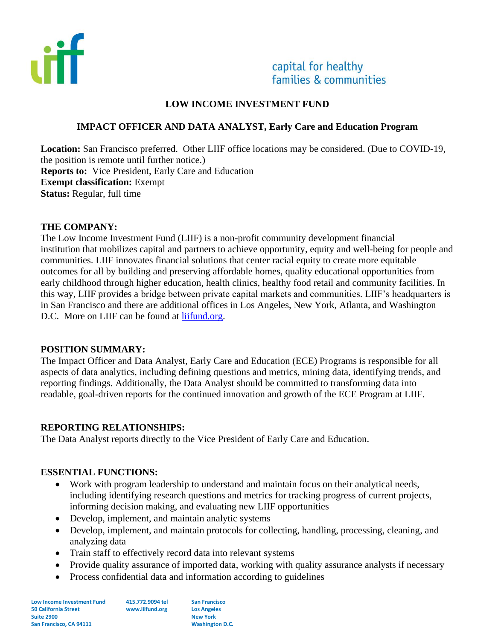

# capital for healthy families & communities

## **LOW INCOME INVESTMENT FUND**

## **IMPACT OFFICER AND DATA ANALYST, Early Care and Education Program**

**Location:** San Francisco preferred. Other LIIF office locations may be considered. (Due to COVID-19, the position is remote until further notice.) **Reports to:** Vice President, Early Care and Education **Exempt classification:** Exempt **Status:** Regular, full time

#### **THE COMPANY:**

The Low Income Investment Fund (LIIF) is a non-profit community development financial institution that mobilizes capital and partners to achieve opportunity, equity and well-being for people and communities. LIIF innovates financial solutions that center racial equity to create more equitable outcomes for all by building and preserving affordable homes, quality educational opportunities from early childhood through higher education, health clinics, healthy food retail and community facilities. In this way, LIIF provides a bridge between private capital markets and communities. LIIF's headquarters is in San Francisco and there are additional offices in Los Angeles, New York, Atlanta, and Washington D.C. More on LIIF can be found at [liifund.org.](https://www.liifund.org/)

#### **POSITION SUMMARY:**

The Impact Officer and Data Analyst, Early Care and Education (ECE) Programs is responsible for all aspects of data analytics, including defining questions and metrics, mining data, identifying trends, and reporting findings. Additionally, the Data Analyst should be committed to transforming data into readable, goal-driven reports for the continued innovation and growth of the ECE Program at LIIF.

#### **REPORTING RELATIONSHIPS:**

The Data Analyst reports directly to the Vice President of Early Care and Education.

#### **ESSENTIAL FUNCTIONS:**

- Work with program leadership to understand and maintain focus on their analytical needs, including identifying research questions and metrics for tracking progress of current projects, informing decision making, and evaluating new LIIF opportunities
- Develop, implement, and maintain analytic systems
- Develop, implement, and maintain protocols for collecting, handling, processing, cleaning, and analyzing data
- Train staff to effectively record data into relevant systems
- Provide quality assurance of imported data, working with quality assurance analysts if necessary
- Process confidential data and information according to guidelines

**Low Income Investment Fund 50 California Street Suite 2900 San Francisco, CA 94111**

**415.772.9094 tel www.liifund.org**

**San Francisco Los Angeles New York Washington D.C.**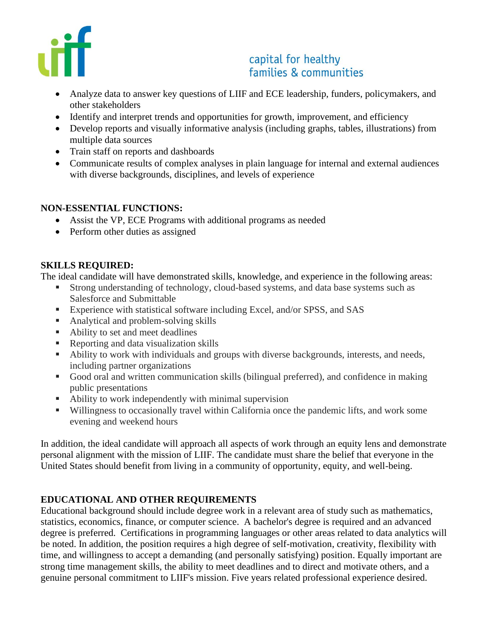

# capital for healthy families & communities

- Analyze data to answer key questions of LIIF and ECE leadership, funders, policymakers, and other stakeholders
- Identify and interpret trends and opportunities for growth, improvement, and efficiency
- Develop reports and visually informative analysis (including graphs, tables, illustrations) from multiple data sources
- Train staff on reports and dashboards
- Communicate results of complex analyses in plain language for internal and external audiences with diverse backgrounds, disciplines, and levels of experience

## **NON-ESSENTIAL FUNCTIONS:**

- Assist the VP, ECE Programs with additional programs as needed
- Perform other duties as assigned

## **SKILLS REQUIRED:**

The ideal candidate will have demonstrated skills, knowledge, and experience in the following areas:

- **EXTERNAL EXECUTE:** Strong understanding of technology, cloud-based systems, and data base systems such as Salesforce and Submittable
- Experience with statistical software including Excel, and/or SPSS, and SAS
- Analytical and problem-solving skills
- Ability to set and meet deadlines
- Reporting and data visualization skills
- Ability to work with individuals and groups with diverse backgrounds, interests, and needs, including partner organizations
- Good oral and written communication skills (bilingual preferred), and confidence in making public presentations
- Ability to work independently with minimal supervision
- Willingness to occasionally travel within California once the pandemic lifts, and work some evening and weekend hours

In addition, the ideal candidate will approach all aspects of work through an equity lens and demonstrate personal alignment with the mission of LIIF. The candidate must share the belief that everyone in the United States should benefit from living in a community of opportunity, equity, and well-being.

## **EDUCATIONAL AND OTHER REQUIREMENTS**

Educational background should include degree work in a relevant area of study such as mathematics, statistics, economics, finance, or computer science. A bachelor's degree is required and an advanced degree is preferred. Certifications in programming languages or other areas related to data analytics will be noted. In addition, the position requires a high degree of self-motivation, creativity, flexibility with time, and willingness to accept a demanding (and personally satisfying) position. Equally important are strong time management skills, the ability to meet deadlines and to direct and motivate others, and a genuine personal commitment to LIIF's mission. Five years related professional experience desired.